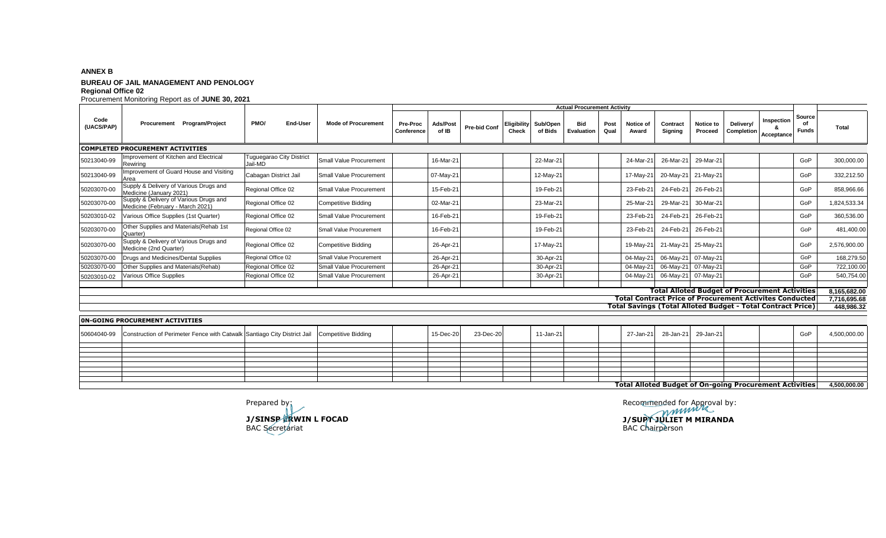## **ANNEX B BUREAU OF JAIL MANAGEMENT AND PENOLOGY Regional Office 02**

Procurement Monitoring Report as of **JUNE 30, 2021 Pre-Proc Conference Ads/Post of IB Pre-bid Conf Eligibility Check Sub/Open of Bids Bid Evaluation Post Qual Notice of Award Contract Signing Notice to Proceed Delivery/ Completion Inspection & Acceptance Total COMPLETED PROCUREMENT ACTIVITIES** 50213040-99 Improvement of Kitchen and Electrical ewiring Tuguegarao City District Jail-MD Small Value Procurement 16-Mar-21 22-Mar-21 24-Mar-21 26-Mar-21 29-Mar-21 GoP 300,000.00 50213040-99 | Improvement of Guard House and Visiting<br>Area Area Cabagan District Jail Small Value Procurement 07-May-21 12-May-21 12-May-21 17-May-21 20-May-21 21-May-21 17-May-21 17-May-21 17-May-21 17-May-21 17-May-21 17-May-21 17-May-21 17-May-21 19-May-21 60P 332,212.50 50203070-00 Supply & Delivery of Various Drugs and<br>50203070-00 Medicine (January 2021) Medicine (January 2021) Regional Office 02 Small Value Procurement 15-Feb-21 19-Feb-21 19-Feb-21 23-Feb-21 24-Feb-21 26-Feb-21 19-Feb-21 26-Feb-21 19-Feb-21 26-Feb-21 19-Feb-21 26-Feb-21 19-Feb-21 19-Feb-21 26-Feb-21 19-Fe 50203070-00 Supply & Delivery of Various Drugs and Medicine (February - March 2021) Regional Office 02 Competitive Bidding 02-Mar-21 02-Mar-21 23-Mar-21 25-Mar-21 29-Mar-21 30-Mar-21 GoP 1,824,533.34 50203010-02 Various Office Supplies (1st Quarter) Regional Office 02 Small Value Procurement 16-Feb-21 19-Feb-21 23-Feb-21 24-Feb-21 26-Feb-21 GoP 360,536.00 50203070-00 Other Supplies and Materials (Rehab 1st<br>Quarter) Other Supplies and Materials (Neritab Tst Regional Office 02 Small Value Procurement 16-Feb-21 16-Feb-21 19-Feb-21 19-Feb-21 23-Feb-21 24-Feb-21 26-Feb-21 19-Feb-21 26-Feb-21 19-Feb-21 24-Feb-21 19-Feb-21 24-Feb-21 19-Feb-50203070-00 Supply & Delivery of Various Drugs and Upply a Delivery of various Drugs and Regional Office 02 Competitive Bidding 26-Apr-21 26-Apr-21 17-May-21 17-May-21 19-May-21 21-May-21 25-May-21 25-May-21 60P 2,576,900.00 50203070-00 Drugs and Medicines/Dental Supplies Regional Office 02 Small Value Procurement 26-Apr-21 30-Apr-21 04-May-21 06-May-21 07-May-21 GoP 168,279.50 50203070-00 Other Supplies and Materials(Rehab) Regional Office 02 Small Value Procurement 26-Apr-21 30-Apr-21 04-May-21 06-May-21 07-May-21 GoP 722,100.00 50203010-02 Various Office Supplies Regional Office 02 Small Value Procurement 26-Apr-21 30-Apr-21 04-May-21 06-May-21 07-May-21 GoP 540,754.00 **8,165,682.00 7,716,695.68 448,986.32 PMO/ End-User Mode of Procurement Total Alloted Budget of Procurement Activities Total Contract Price of Procurement Activites Conducted Total Savings (Total Alloted Budget - Total Contract Price) Actual Procurement Activity Source of Funds** Code<br>(UACS/PAP) **(UACS/PAP) Procurement Program/Project**

| <b>ON-GOING PROCUREMENT ACTIVITIES</b> |                                                                                                          |  |  |  |           |           |  |           |  |  |  |                               |  |              |              |
|----------------------------------------|----------------------------------------------------------------------------------------------------------|--|--|--|-----------|-----------|--|-----------|--|--|--|-------------------------------|--|--------------|--------------|
|                                        | 50604040-99 Construction of Perimeter Fence with Catwalk Santiago City District Jail Competitive Bidding |  |  |  | 15-Dec-20 | 23-Dec-20 |  | 11-Jan-21 |  |  |  | 27-Jan-21 28-Jan-21 29-Jan-21 |  | GoP          | 4,500,000.00 |
|                                        |                                                                                                          |  |  |  |           |           |  |           |  |  |  |                               |  |              |              |
|                                        |                                                                                                          |  |  |  |           |           |  |           |  |  |  |                               |  |              |              |
|                                        |                                                                                                          |  |  |  |           |           |  |           |  |  |  |                               |  |              |              |
|                                        |                                                                                                          |  |  |  |           |           |  |           |  |  |  |                               |  |              |              |
|                                        |                                                                                                          |  |  |  |           |           |  |           |  |  |  |                               |  |              |              |
|                                        |                                                                                                          |  |  |  |           |           |  |           |  |  |  |                               |  |              |              |
|                                        |                                                                                                          |  |  |  |           |           |  |           |  |  |  |                               |  |              |              |
|                                        |                                                                                                          |  |  |  |           |           |  |           |  |  |  |                               |  |              |              |
|                                        | Total Alloted Budget of On-going Procurement Activities                                                  |  |  |  |           |           |  |           |  |  |  |                               |  | 4,500,000.00 |              |

**J/SINSP ERWIN L FOCAD J/SUPT JULIET M MIRANDA** BAC Secretariat BAC Chairperson

Prepared by: example by:  $\blacksquare$  Recommended for Approval by: